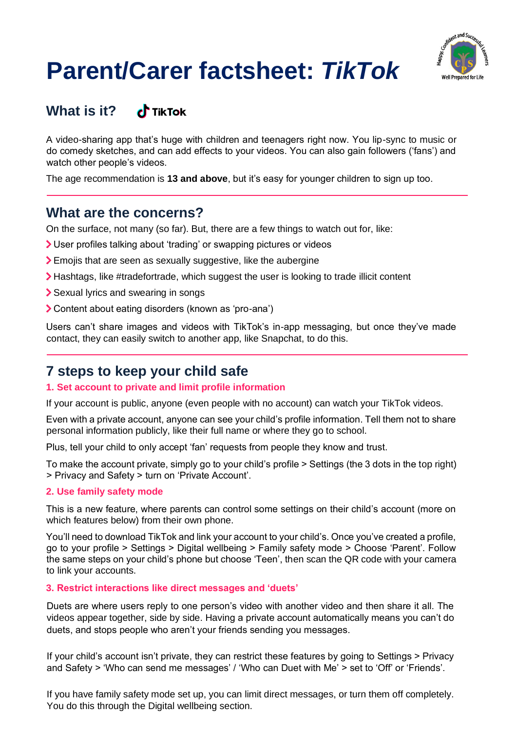# **Parent/Carer factsheet:** *TikTok*



#### **What is it?**  c<sup>h</sup> TikTok

A video-sharing app that's huge with children and teenagers right now. You lip-sync to music or do comedy sketches, and can add effects to your videos. You can also gain followers ('fans') and watch other people's videos.

The age recommendation is **13 and above**, but it's easy for younger children to sign up too.

## **What are the concerns?**

On the surface, not many (so far). But, there are a few things to watch out for, like:

- User profiles talking about 'trading' or swapping pictures or videos
- Emojis that are seen as sexually suggestive, like the aubergine
- Hashtags, like #tradefortrade, which suggest the user is looking to trade illicit content
- Sexual lyrics and swearing in songs
- Content about eating disorders (known as 'pro-ana')

Users can't share images and videos with TikTok's in-app messaging, but once they've made contact, they can easily switch to another app, like Snapchat, to do this.

# **7 steps to keep your child safe**

## **1. Set account to private and limit profile information**

If your account is public, anyone (even people with no account) can watch your TikTok videos.

Even with a private account, anyone can see your child's profile information. Tell them not to share personal information publicly, like their full name or where they go to school.

Plus, tell your child to only accept 'fan' requests from people they know and trust.

To make the account private, simply go to your child's profile > Settings (the 3 dots in the top right) > Privacy and Safety > turn on 'Private Account'.

## **2. Use family safety mode**

This is a new feature, where parents can control some settings on their child's account (more on which features below) from their own phone.

You'll need to download TikTok and link your account to your child's. Once you've created a profile, go to your profile > Settings > Digital wellbeing > Family safety mode > Choose 'Parent'. Follow the same steps on your child's phone but choose 'Teen', then scan the QR code with your camera to link your accounts.

## **3. Restrict interactions like direct messages and 'duets'**

Duets are where users reply to one person's video with another video and then share it all. The videos appear together, side by side. Having a private account automatically means you can't do duets, and stops people who aren't your friends sending you messages.

If your child's account isn't private, they can restrict these features by going to Settings > Privacy and Safety > 'Who can send me messages' / 'Who can Duet with Me' > set to 'Off' or 'Friends'.

If you have family safety mode set up, you can limit direct messages, or turn them off completely. You do this through the Digital wellbeing section.